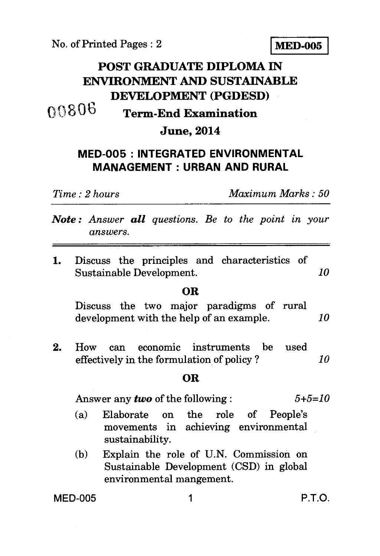No. of Printed Pages : 2 **MED-005** 

# **POST GRADUATE DIPLOMA IN ENVIRONMENT AND SUSTAINABLE DEVELOPMENT (PGDESD) 0 t) 8 0 b Term-End Examination**

### **June, 2014**

## **MED-005 : INTEGRATED ENVIRONMENTAL MANAGEMENT : URBAN AND RURAL**

*Time : 2 hours Maximum Marks : 50* 

*Note : Answer all questions. Be to the point in your answers.* 

1. Discuss the principles and characteristics of Sustainable Development. *10* 

#### **OR**

Discuss the two major paradigms of rural development with the help of an example. *10* 

2. How can economic instruments be used effectively in the formulation of policy ? *10* 

#### **OR**

Answer any *two* of the following : *5+5=10* 

- (a) Elaborate on the role of People's movements in achieving environmental sustainability.
- (b) Explain the role of U.N. Commission on Sustainable Development (CSD) in global environmental mangement.

MED-005 1 P.T.O.